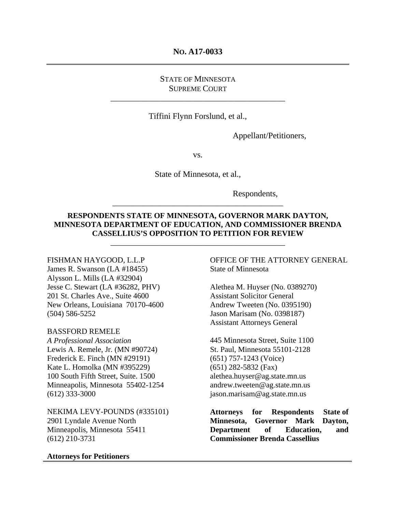#### **NO. A17-0033**

## STATE OF MINNESOTA SUPREME COURT

\_\_\_\_\_\_\_\_\_\_\_\_\_\_\_\_\_\_\_\_\_\_\_\_\_\_\_\_\_\_\_\_\_\_\_\_\_\_\_\_\_\_\_\_\_

Tiffini Flynn Forslund, et al.,

Appellant/Petitioners,

vs.

State of Minnesota, et al.,

Respondents,

#### **RESPONDENTS STATE OF MINNESOTA, GOVERNOR MARK DAYTON, MINNESOTA DEPARTMENT OF EDUCATION, AND COMMISSIONER BRENDA CASSELLIUS'S OPPOSITION TO PETITION FOR REVIEW**

\_\_\_\_\_\_\_\_\_\_\_\_\_\_\_\_\_\_\_\_\_\_\_\_\_\_\_\_\_\_\_\_\_\_\_\_\_\_\_\_\_\_\_\_\_

\_\_\_\_\_\_\_\_\_\_\_\_\_\_\_\_\_\_\_\_\_\_\_\_\_\_\_\_\_\_\_\_\_\_\_\_\_\_\_\_\_\_\_\_

#### FISHMAN HAYGOOD, L.L.P

James R. Swanson (LA #18455) Alysson L. Mills (LA #32904) Jesse C. Stewart (LA #36282, PHV) 201 St. Charles Ave., Suite 4600 New Orleans, Louisiana 70170-4600 (504) 586-5252

#### BASSFORD REMELE

*A Professional Association*  Lewis A. Remele, Jr. (MN #90724) Frederick E. Finch (MN #29191) Kate L. Homolka (MN #395229) 100 South Fifth Street, Suite. 1500 Minneapolis, Minnesota 55402-1254 (612) 333-3000

NEKIMA LEVY-POUNDS (#335101) 2901 Lyndale Avenue North Minneapolis, Minnesota 55411 (612) 210-3731

#### **Attorneys for Petitioners**

OFFICE OF THE ATTORNEY GENERAL State of Minnesota

Alethea M. Huyser (No. 0389270) Assistant Solicitor General Andrew Tweeten (No. 0395190) Jason Marisam (No. 0398187) Assistant Attorneys General

445 Minnesota Street, Suite 1100 St. Paul, Minnesota 55101-2128 (651) 757-1243 (Voice) (651) 282-5832 (Fax) alethea.huyser@ag.state.mn.us andrew.tweeten@ag.state.mn.us jason.marisam@ag.state.mn.us

**Attorneys for Respondents State of Minnesota, Governor Mark Dayton, Department of Education, and Commissioner Brenda Cassellius**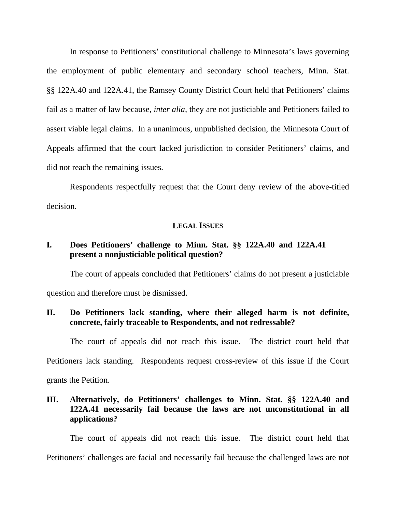In response to Petitioners' constitutional challenge to Minnesota's laws governing the employment of public elementary and secondary school teachers, Minn. Stat. §§ 122A.40 and 122A.41, the Ramsey County District Court held that Petitioners' claims fail as a matter of law because, *inter alia,* they are not justiciable and Petitioners failed to assert viable legal claims. In a unanimous, unpublished decision, the Minnesota Court of Appeals affirmed that the court lacked jurisdiction to consider Petitioners' claims, and did not reach the remaining issues.

Respondents respectfully request that the Court deny review of the above-titled decision.

#### **LEGAL ISSUES**

## **I. Does Petitioners' challenge to Minn. Stat. §§ 122A.40 and 122A.41 present a nonjusticiable political question?**

The court of appeals concluded that Petitioners' claims do not present a justiciable question and therefore must be dismissed.

## **II. Do Petitioners lack standing, where their alleged harm is not definite, concrete, fairly traceable to Respondents, and not redressable?**

The court of appeals did not reach this issue. The district court held that

Petitioners lack standing. Respondents request cross-review of this issue if the Court

grants the Petition.

# **III. Alternatively, do Petitioners' challenges to Minn. Stat. §§ 122A.40 and 122A.41 necessarily fail because the laws are not unconstitutional in all applications?**

The court of appeals did not reach this issue. The district court held that Petitioners' challenges are facial and necessarily fail because the challenged laws are not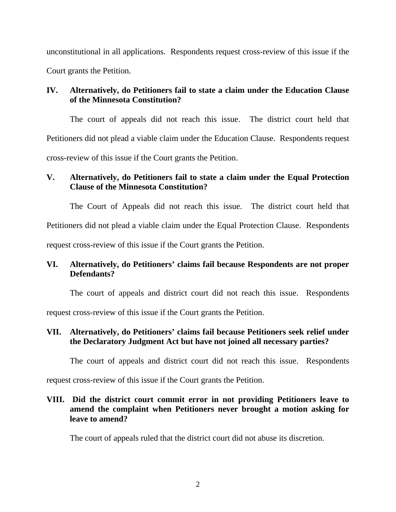unconstitutional in all applications. Respondents request cross-review of this issue if the Court grants the Petition.

# **IV. Alternatively, do Petitioners fail to state a claim under the Education Clause of the Minnesota Constitution?**

The court of appeals did not reach this issue. The district court held that Petitioners did not plead a viable claim under the Education Clause. Respondents request cross-review of this issue if the Court grants the Petition.

# **V. Alternatively, do Petitioners fail to state a claim under the Equal Protection Clause of the Minnesota Constitution?**

The Court of Appeals did not reach this issue. The district court held that

Petitioners did not plead a viable claim under the Equal Protection Clause. Respondents

request cross-review of this issue if the Court grants the Petition.

# **VI. Alternatively, do Petitioners' claims fail because Respondents are not proper Defendants?**

The court of appeals and district court did not reach this issue. Respondents

request cross-review of this issue if the Court grants the Petition.

# **VII. Alternatively, do Petitioners' claims fail because Petitioners seek relief under the Declaratory Judgment Act but have not joined all necessary parties?**

The court of appeals and district court did not reach this issue. Respondents

request cross-review of this issue if the Court grants the Petition.

# **VIII. Did the district court commit error in not providing Petitioners leave to amend the complaint when Petitioners never brought a motion asking for leave to amend?**

The court of appeals ruled that the district court did not abuse its discretion.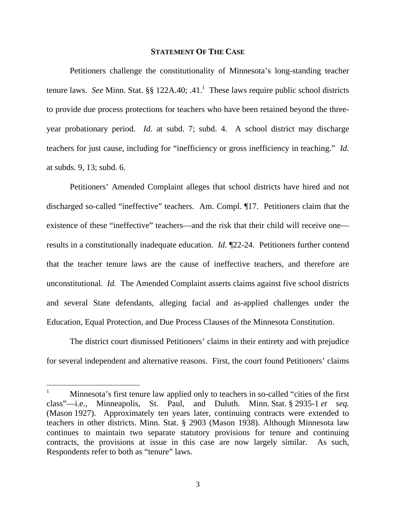#### **STATEMENT OF THE CASE**

Petitioners challenge the constitutionality of Minnesota's long-standing teacher tenure laws. See Minn. Stat.  $\S\S 122A.40$ ; .41.<sup>1</sup> These laws require public school districts to provide due process protections for teachers who have been retained beyond the threeyear probationary period. *Id.* at subd. 7; subd. 4. A school district may discharge teachers for just cause, including for "inefficiency or gross inefficiency in teaching." *Id.*  at subds. 9, 13; subd. 6.

Petitioners' Amended Complaint alleges that school districts have hired and not discharged so-called "ineffective" teachers. Am. Compl. ¶17. Petitioners claim that the existence of these "ineffective" teachers—and the risk that their child will receive one results in a constitutionally inadequate education. *Id.* ¶22-24.Petitioners further contend that the teacher tenure laws are the cause of ineffective teachers, and therefore are unconstitutional. *Id.* The Amended Complaint asserts claims against five school districts and several State defendants, alleging facial and as-applied challenges under the Education, Equal Protection, and Due Process Clauses of the Minnesota Constitution.

The district court dismissed Petitioners' claims in their entirety and with prejudice for several independent and alternative reasons. First, the court found Petitioners' claims

 $\overline{a}$ 

3

<sup>1</sup> Minnesota's first tenure law applied only to teachers in so-called "cities of the first class"—i.e., Minneapolis, St. Paul, and Duluth. Minn. Stat. § 2935-1 *et seq.* (Mason 1927). Approximately ten years later, continuing contracts were extended to teachers in other districts. Minn. Stat. § 2903 (Mason 1938). Although Minnesota law continues to maintain two separate statutory provisions for tenure and continuing contracts, the provisions at issue in this case are now largely similar. As such, Respondents refer to both as "tenure" laws.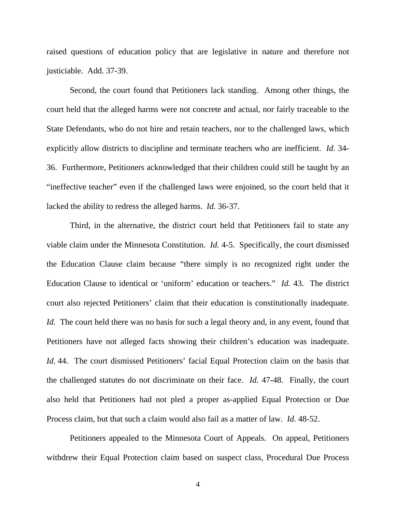raised questions of education policy that are legislative in nature and therefore not justiciable. Add. 37-39.

Second, the court found that Petitioners lack standing. Among other things, the court held that the alleged harms were not concrete and actual, nor fairly traceable to the State Defendants, who do not hire and retain teachers, nor to the challenged laws, which explicitly allow districts to discipline and terminate teachers who are inefficient. *Id.* 34- 36. Furthermore, Petitioners acknowledged that their children could still be taught by an "ineffective teacher" even if the challenged laws were enjoined, so the court held that it lacked the ability to redress the alleged harms. *Id.* 36-37.

Third, in the alternative, the district court held that Petitioners fail to state any viable claim under the Minnesota Constitution. *Id.* 4-5. Specifically, the court dismissed the Education Clause claim because "there simply is no recognized right under the Education Clause to identical or 'uniform' education or teachers." *Id.* 43. The district court also rejected Petitioners' claim that their education is constitutionally inadequate. *Id.* The court held there was no basis for such a legal theory and, in any event, found that Petitioners have not alleged facts showing their children's education was inadequate. *Id.* 44. The court dismissed Petitioners' facial Equal Protection claim on the basis that the challenged statutes do not discriminate on their face. *Id.* 47-48. Finally, the court also held that Petitioners had not pled a proper as-applied Equal Protection or Due Process claim, but that such a claim would also fail as a matter of law. *Id.* 48-52.

Petitioners appealed to the Minnesota Court of Appeals. On appeal, Petitioners withdrew their Equal Protection claim based on suspect class, Procedural Due Process

4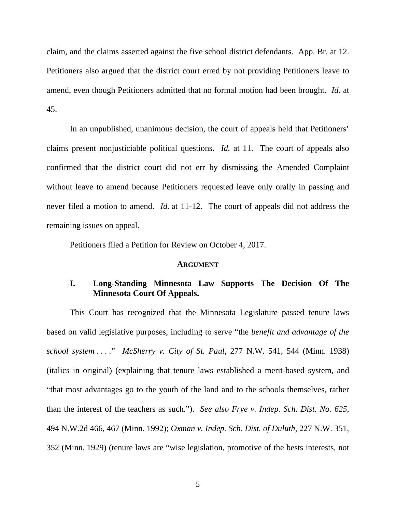claim, and the claims asserted against the five school district defendants. App. Br. at 12. Petitioners also argued that the district court erred by not providing Petitioners leave to amend, even though Petitioners admitted that no formal motion had been brought. *Id.* at 45.

In an unpublished, unanimous decision, the court of appeals held that Petitioners' claims present nonjusticiable political questions. *Id.* at 11. The court of appeals also confirmed that the district court did not err by dismissing the Amended Complaint without leave to amend because Petitioners requested leave only orally in passing and never filed a motion to amend. *Id.* at 11-12. The court of appeals did not address the remaining issues on appeal.

Petitioners filed a Petition for Review on October 4, 2017.

#### **ARGUMENT**

## **I. Long-Standing Minnesota Law Supports The Decision Of The Minnesota Court Of Appeals.**

This Court has recognized that the Minnesota Legislature passed tenure laws based on valid legislative purposes, including to serve "the *benefit and advantage of the school system . . . .*" *McSherry v. City of St. Paul*, 277 N.W. 541, 544 (Minn. 1938) (italics in original) (explaining that tenure laws established a merit-based system, and "that most advantages go to the youth of the land and to the schools themselves, rather than the interest of the teachers as such."). *See also Frye v. Indep. Sch. Dist. No. 625*, 494 N.W.2d 466, 467 (Minn. 1992); *Oxman v. Indep. Sch. Dist. of Duluth*, 227 N.W. 351, 352 (Minn. 1929) (tenure laws are "wise legislation, promotive of the bests interests, not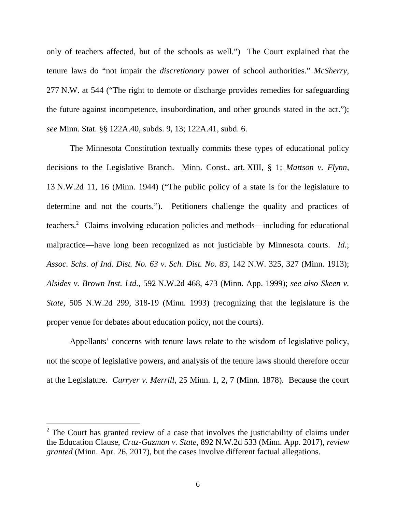only of teachers affected, but of the schools as well.") The Court explained that the tenure laws do "not impair the *discretionary* power of school authorities." *McSherry*, 277 N.W. at 544 ("The right to demote or discharge provides remedies for safeguarding the future against incompetence, insubordination, and other grounds stated in the act."); *see* Minn. Stat. §§ 122A.40, subds. 9, 13; 122A.41, subd. 6.

The Minnesota Constitution textually commits these types of educational policy decisions to the Legislative Branch. Minn. Const., art. XIII, § 1; *Mattson v. Flynn*, 13 N.W.2d 11, 16 (Minn. 1944) ("The public policy of a state is for the legislature to determine and not the courts."). Petitioners challenge the quality and practices of teachers.<sup>2</sup> Claims involving education policies and methods—including for educational malpractice—have long been recognized as not justiciable by Minnesota courts. *Id.*; *Assoc. Schs. of Ind. Dist. No. 63 v. Sch. Dist. No. 83*, 142 N.W. 325, 327 (Minn. 1913); *Alsides v. Brown Inst. Ltd.*, 592 N.W.2d 468, 473 (Minn. App. 1999); *see also Skeen v. State*, 505 N.W.2d 299, 318-19 (Minn. 1993) (recognizing that the legislature is the proper venue for debates about education policy, not the courts).

Appellants' concerns with tenure laws relate to the wisdom of legislative policy, not the scope of legislative powers, and analysis of the tenure laws should therefore occur at the Legislature. *Curryer v. Merrill*, 25 Minn. 1, 2, 7 (Minn. 1878). Because the court

 $\overline{a}$ 

 $2^{\circ}$  The Court has granted review of a case that involves the justiciability of claims under the Education Clause, *Cruz-Guzman v. State*, 892 N.W.2d 533 (Minn. App. 2017), *review granted* (Minn. Apr. 26, 2017), but the cases involve different factual allegations.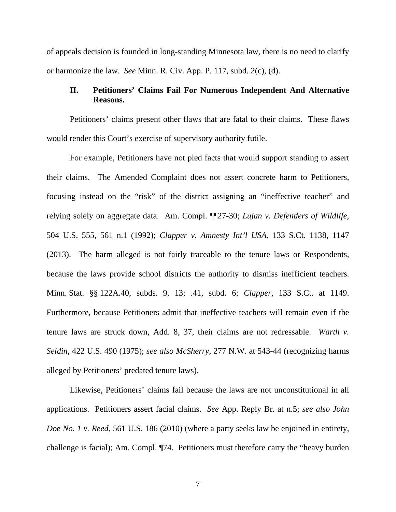of appeals decision is founded in long-standing Minnesota law, there is no need to clarify or harmonize the law. *See* Minn. R. Civ. App. P. 117, subd. 2(c), (d).

## **II. Petitioners' Claims Fail For Numerous Independent And Alternative Reasons.**

Petitioners' claims present other flaws that are fatal to their claims. These flaws would render this Court's exercise of supervisory authority futile.

For example, Petitioners have not pled facts that would support standing to assert their claims. The Amended Complaint does not assert concrete harm to Petitioners, focusing instead on the "risk" of the district assigning an "ineffective teacher" and relying solely on aggregate data. Am. Compl. ¶¶27-30; *Lujan v. Defenders of Wildlife*, 504 U.S. 555, 561 n.1 (1992); *Clapper v. Amnesty Int'l USA*, 133 S.Ct. 1138, 1147 (2013). The harm alleged is not fairly traceable to the tenure laws or Respondents, because the laws provide school districts the authority to dismiss inefficient teachers. Minn. Stat. §§ 122A.40, subds. 9, 13; .41, subd. 6; *Clapper*, 133 S.Ct. at 1149. Furthermore, because Petitioners admit that ineffective teachers will remain even if the tenure laws are struck down, Add. 8, 37, their claims are not redressable. *Warth v. Seldin*, 422 U.S. 490 (1975); *see also McSherry*, 277 N.W. at 543-44 (recognizing harms alleged by Petitioners' predated tenure laws).

Likewise, Petitioners' claims fail because the laws are not unconstitutional in all applications. Petitioners assert facial claims. *See* App. Reply Br. at n.5; *see also John Doe No. 1 v. Reed*, 561 U.S. 186 (2010) (where a party seeks law be enjoined in entirety, challenge is facial); Am. Compl. ¶74. Petitioners must therefore carry the "heavy burden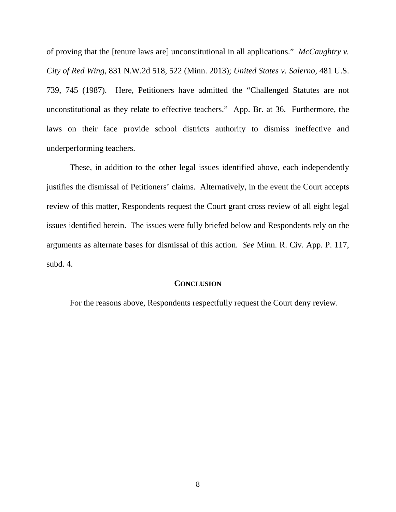of proving that the [tenure laws are] unconstitutional in all applications." *McCaughtry v. City of Red Wing*, 831 N.W.2d 518, 522 (Minn. 2013); *United States v. Salerno*, 481 U.S. 739, 745 (1987). Here, Petitioners have admitted the "Challenged Statutes are not unconstitutional as they relate to effective teachers." App. Br. at 36. Furthermore, the laws on their face provide school districts authority to dismiss ineffective and underperforming teachers.

These, in addition to the other legal issues identified above, each independently justifies the dismissal of Petitioners' claims. Alternatively, in the event the Court accepts review of this matter, Respondents request the Court grant cross review of all eight legal issues identified herein. The issues were fully briefed below and Respondents rely on the arguments as alternate bases for dismissal of this action. *See* Minn. R. Civ. App. P. 117, subd. 4.

#### **CONCLUSION**

For the reasons above, Respondents respectfully request the Court deny review.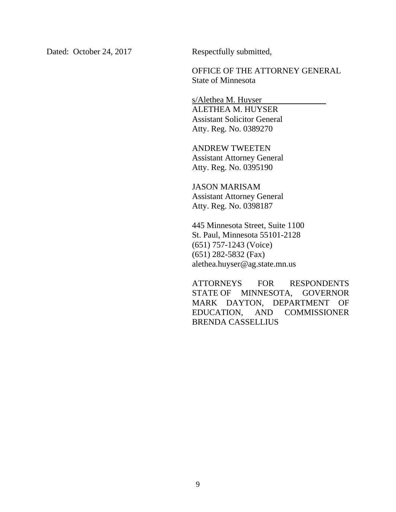Dated: October 24, 2017 Respectfully submitted,

OFFICE OF THE ATTORNEY GENERAL State of Minnesota

s/Alethea M. Huyser ALETHEA M. HUYSER Assistant Solicitor General Atty. Reg. No. 0389270

ANDREW TWEETEN Assistant Attorney General Atty. Reg. No. 0395190

JASON MARISAM Assistant Attorney General Atty. Reg. No. 0398187

445 Minnesota Street, Suite 1100 St. Paul, Minnesota 55101-2128 (651) 757-1243 (Voice) (651) 282-5832 (Fax) alethea.huyser@ag.state.mn.us

ATTORNEYS FOR RESPONDENTS STATE OF MINNESOTA, GOVERNOR MARK DAYTON, DEPARTMENT OF EDUCATION, AND COMMISSIONER BRENDA CASSELLIUS